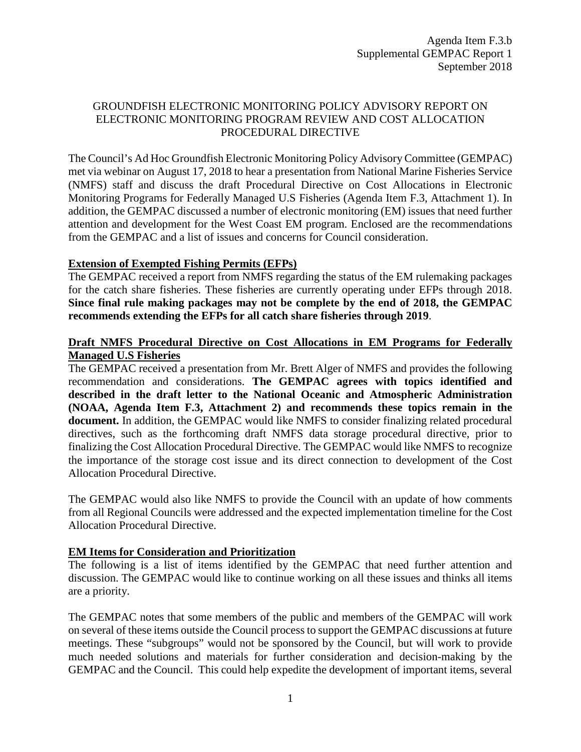## GROUNDFISH ELECTRONIC MONITORING POLICY ADVISORY REPORT ON ELECTRONIC MONITORING PROGRAM REVIEW AND COST ALLOCATION PROCEDURAL DIRECTIVE

The Council's Ad Hoc Groundfish Electronic Monitoring Policy Advisory Committee (GEMPAC) met via webinar on August 17, 2018 to hear a presentation from National Marine Fisheries Service (NMFS) staff and discuss the draft Procedural Directive on Cost Allocations in Electronic Monitoring Programs for Federally Managed U.S Fisheries (Agenda Item F.3, Attachment 1). In addition, the GEMPAC discussed a number of electronic monitoring (EM) issues that need further attention and development for the West Coast EM program. Enclosed are the recommendations from the GEMPAC and a list of issues and concerns for Council consideration.

### **Extension of Exempted Fishing Permits (EFPs)**

The GEMPAC received a report from NMFS regarding the status of the EM rulemaking packages for the catch share fisheries. These fisheries are currently operating under EFPs through 2018. **Since final rule making packages may not be complete by the end of 2018, the GEMPAC recommends extending the EFPs for all catch share fisheries through 2019**.

## **Draft NMFS Procedural Directive on Cost Allocations in EM Programs for Federally Managed U.S Fisheries**

The GEMPAC received a presentation from Mr. Brett Alger of NMFS and provides the following recommendation and considerations. **The GEMPAC agrees with topics identified and described in the draft letter to the National Oceanic and Atmospheric Administration (NOAA, Agenda Item F.3, Attachment 2) and recommends these topics remain in the document.** In addition, the GEMPAC would like NMFS to consider finalizing related procedural directives, such as the forthcoming draft NMFS data storage procedural directive, prior to finalizing the Cost Allocation Procedural Directive. The GEMPAC would like NMFS to recognize the importance of the storage cost issue and its direct connection to development of the Cost Allocation Procedural Directive.

The GEMPAC would also like NMFS to provide the Council with an update of how comments from all Regional Councils were addressed and the expected implementation timeline for the Cost Allocation Procedural Directive.

# **EM Items for Consideration and Prioritization**

The following is a list of items identified by the GEMPAC that need further attention and discussion. The GEMPAC would like to continue working on all these issues and thinks all items are a priority.

The GEMPAC notes that some members of the public and members of the GEMPAC will work on several of these items outside the Council process to support the GEMPAC discussions at future meetings. These "subgroups" would not be sponsored by the Council, but will work to provide much needed solutions and materials for further consideration and decision-making by the GEMPAC and the Council. This could help expedite the development of important items, several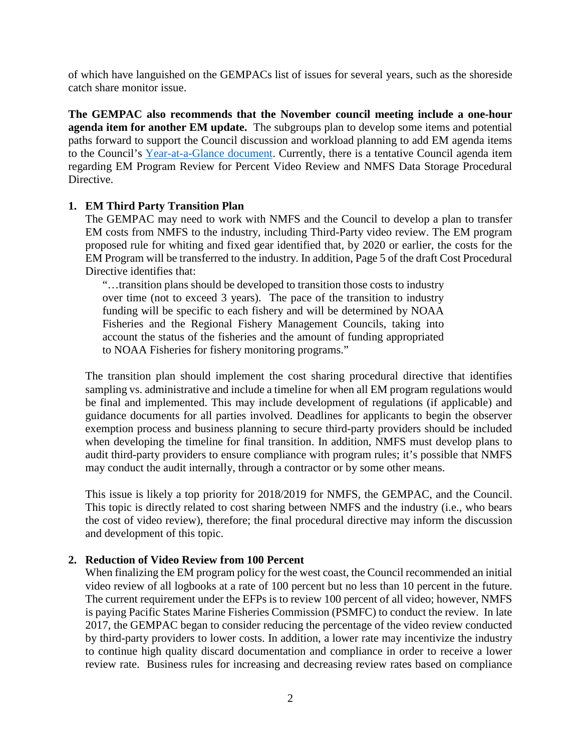of which have languished on the GEMPACs list of issues for several years, such as the shoreside catch share monitor issue.

**The GEMPAC also recommends that the November council meeting include a one-hour agenda item for another EM update.** The subgroups plan to develop some items and potential paths forward to support the Council discussion and workload planning to add EM agenda items to the Council's [Year-at-a-Glance document.](https://www.pcouncil.org/wp-content/uploads/2018/08/F7_Att1_YAG_SEPTBB2018.pdf) Currently, there is a tentative Council agenda item regarding EM Program Review for Percent Video Review and NMFS Data Storage Procedural Directive.

### **1. EM Third Party Transition Plan**

The GEMPAC may need to work with NMFS and the Council to develop a plan to transfer EM costs from NMFS to the industry, including Third-Party video review. The EM program proposed rule for whiting and fixed gear identified that, by 2020 or earlier, the costs for the EM Program will be transferred to the industry. In addition, Page 5 of the draft Cost Procedural Directive identifies that:

"…transition plans should be developed to transition those costs to industry over time (not to exceed 3 years). The pace of the transition to industry funding will be specific to each fishery and will be determined by NOAA Fisheries and the Regional Fishery Management Councils, taking into account the status of the fisheries and the amount of funding appropriated to NOAA Fisheries for fishery monitoring programs."

The transition plan should implement the cost sharing procedural directive that identifies sampling vs. administrative and include a timeline for when all EM program regulations would be final and implemented. This may include development of regulations (if applicable) and guidance documents for all parties involved. Deadlines for applicants to begin the observer exemption process and business planning to secure third-party providers should be included when developing the timeline for final transition. In addition, NMFS must develop plans to audit third-party providers to ensure compliance with program rules; it's possible that NMFS may conduct the audit internally, through a contractor or by some other means.

This issue is likely a top priority for 2018/2019 for NMFS, the GEMPAC, and the Council. This topic is directly related to cost sharing between NMFS and the industry (i.e., who bears the cost of video review), therefore; the final procedural directive may inform the discussion and development of this topic.

### **2. Reduction of Video Review from 100 Percent**

When finalizing the EM program policy for the west coast, the Council recommended an initial video review of all logbooks at a rate of 100 percent but no less than 10 percent in the future. The current requirement under the EFPs is to review 100 percent of all video; however, NMFS is paying Pacific States Marine Fisheries Commission (PSMFC) to conduct the review. In late 2017, the GEMPAC began to consider reducing the percentage of the video review conducted by third-party providers to lower costs. In addition, a lower rate may incentivize the industry to continue high quality discard documentation and compliance in order to receive a lower review rate. Business rules for increasing and decreasing review rates based on compliance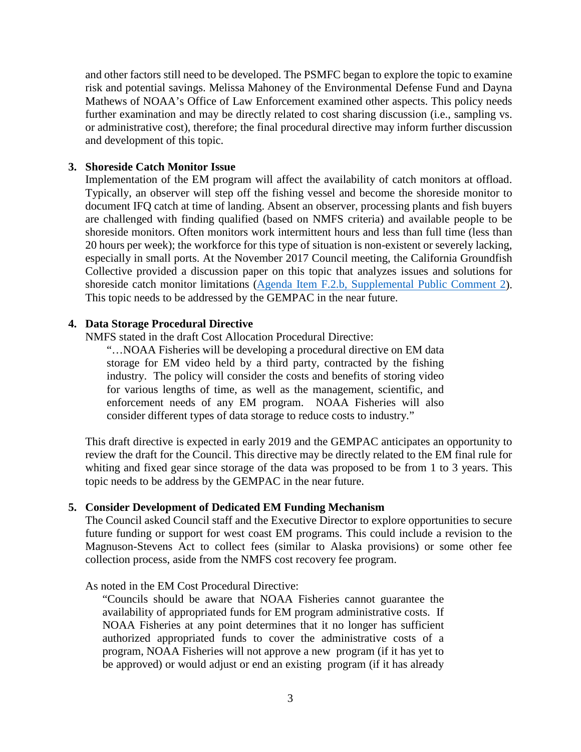and other factors still need to be developed. The PSMFC began to explore the topic to examine risk and potential savings. Melissa Mahoney of the Environmental Defense Fund and Dayna Mathews of NOAA's Office of Law Enforcement examined other aspects. This policy needs further examination and may be directly related to cost sharing discussion (i.e., sampling vs. or administrative cost), therefore; the final procedural directive may inform further discussion and development of this topic.

### **3. Shoreside Catch Monitor Issue**

Implementation of the EM program will affect the availability of catch monitors at offload. Typically, an observer will step off the fishing vessel and become the shoreside monitor to document IFQ catch at time of landing. Absent an observer, processing plants and fish buyers are challenged with finding qualified (based on NMFS criteria) and available people to be shoreside monitors. Often monitors work intermittent hours and less than full time (less than 20 hours per week); the workforce for this type of situation is non-existent or severely lacking, especially in small ports. At the November 2017 Council meeting, the California Groundfish Collective provided a discussion paper on this topic that analyzes issues and solutions for shoreside catch monitor limitations [\(Agenda Item F.2.b, Supplemental Public Comment 2\)](https://www.pcouncil.org/wp-content/uploads/2017/11/F2b_Sup_PubCom2_NOV2017BB.pdf). This topic needs to be addressed by the GEMPAC in the near future.

### **4. Data Storage Procedural Directive**

NMFS stated in the draft Cost Allocation Procedural Directive:

"…NOAA Fisheries will be developing a procedural directive on EM data storage for EM video held by a third party, contracted by the fishing industry. The policy will consider the costs and benefits of storing video for various lengths of time, as well as the management, scientific, and enforcement needs of any EM program. NOAA Fisheries will also consider different types of data storage to reduce costs to industry."

This draft directive is expected in early 2019 and the GEMPAC anticipates an opportunity to review the draft for the Council. This directive may be directly related to the EM final rule for whiting and fixed gear since storage of the data was proposed to be from 1 to 3 years. This topic needs to be address by the GEMPAC in the near future.

### **5. Consider Development of Dedicated EM Funding Mechanism**

The Council asked Council staff and the Executive Director to explore opportunities to secure future funding or support for west coast EM programs. This could include a revision to the Magnuson-Stevens Act to collect fees (similar to Alaska provisions) or some other fee collection process, aside from the NMFS cost recovery fee program.

As noted in the EM Cost Procedural Directive:

"Councils should be aware that NOAA Fisheries cannot guarantee the availability of appropriated funds for EM program administrative costs. If NOAA Fisheries at any point determines that it no longer has sufficient authorized appropriated funds to cover the administrative costs of a program, NOAA Fisheries will not approve a new program (if it has yet to be approved) or would adjust or end an existing program (if it has already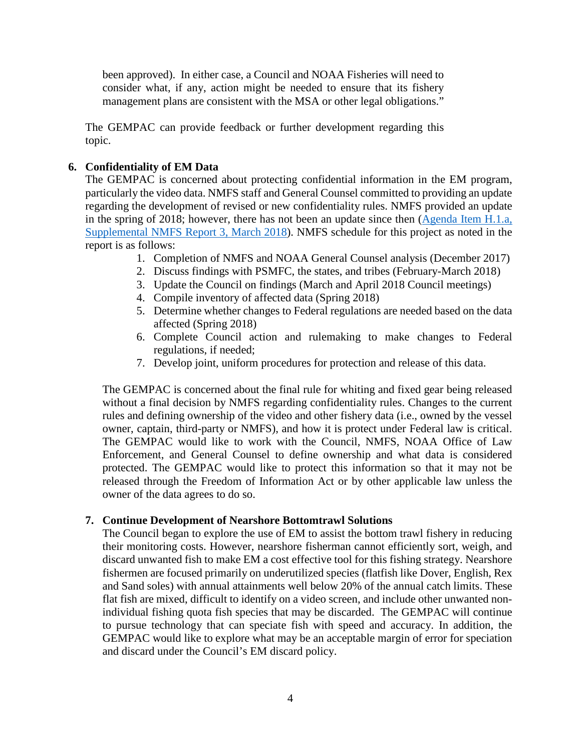been approved). In either case, a Council and NOAA Fisheries will need to consider what, if any, action might be needed to ensure that its fishery management plans are consistent with the MSA or other legal obligations."

The GEMPAC can provide feedback or further development regarding this topic.

# **6. Confidentiality of EM Data**

The GEMPAC is concerned about protecting confidential information in the EM program, particularly the video data. NMFS staff and General Counsel committed to providing an update regarding the development of revised or new confidentiality rules. NMFS provided an update in the spring of 2018; however, there has not been an update since then  $(A$ genda Item H.1.a, [Supplemental NMFS Report 3, March 2018\)](https://www.pcouncil.org/wp-content/uploads/2018/03/H1a_Sup_NMFS_Rpt3_EM_Report_on_Confidentiality_Mar2018BB.pdf). NMFS schedule for this project as noted in the report is as follows:

- 1. Completion of NMFS and NOAA General Counsel analysis (December 2017)
- 2. Discuss findings with PSMFC, the states, and tribes (February-March 2018)
- 3. Update the Council on findings (March and April 2018 Council meetings)
- 4. Compile inventory of affected data (Spring 2018)
- 5. Determine whether changes to Federal regulations are needed based on the data affected (Spring 2018)
- 6. Complete Council action and rulemaking to make changes to Federal regulations, if needed;
- 7. Develop joint, uniform procedures for protection and release of this data.

The GEMPAC is concerned about the final rule for whiting and fixed gear being released without a final decision by NMFS regarding confidentiality rules. Changes to the current rules and defining ownership of the video and other fishery data (i.e., owned by the vessel owner, captain, third-party or NMFS), and how it is protect under Federal law is critical. The GEMPAC would like to work with the Council, NMFS, NOAA Office of Law Enforcement, and General Counsel to define ownership and what data is considered protected. The GEMPAC would like to protect this information so that it may not be released through the Freedom of Information Act or by other applicable law unless the owner of the data agrees to do so.

# **7. Continue Development of Nearshore Bottomtrawl Solutions**

The Council began to explore the use of EM to assist the bottom trawl fishery in reducing their monitoring costs. However, nearshore fisherman cannot efficiently sort, weigh, and discard unwanted fish to make EM a cost effective tool for this fishing strategy. Nearshore fishermen are focused primarily on underutilized species (flatfish like Dover, English, Rex and Sand soles) with annual attainments well below 20% of the annual catch limits. These flat fish are mixed, difficult to identify on a video screen, and include other unwanted nonindividual fishing quota fish species that may be discarded. The GEMPAC will continue to pursue technology that can speciate fish with speed and accuracy. In addition, the GEMPAC would like to explore what may be an acceptable margin of error for speciation and discard under the Council's EM discard policy.